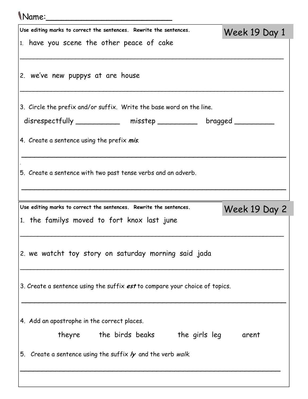## Name:\_\_\_\_\_\_\_\_\_\_\_\_\_\_\_\_\_\_\_\_\_\_\_\_\_

| Use editing marks to correct the sentences. Rewrite the sentences.                                  | Week 19 Day 1 |
|-----------------------------------------------------------------------------------------------------|---------------|
| 1. have you scene the other peace of cake                                                           |               |
| 2. we've new puppys at are house                                                                    |               |
| 3. Circle the prefix and/or suffix. Write the base word on the line.                                |               |
| disrespectfully ____________ misstep __________ bragged _______                                     |               |
| 4. Create a sentence using the prefix mis.                                                          |               |
| 5. Create a sentence with two past tense verbs and an adverb.                                       |               |
| Use editing marks to correct the sentences. Rewrite the sentences.                                  | Week 19 Day 2 |
| 1. the familys moved to fort knox last june                                                         |               |
| 2. we watcht toy story on saturday morning said jada                                                |               |
| 3. Create a sentence using the suffix est to compare your choice of topics.                         |               |
| 4. Add an apostrophe in the correct places.                                                         |               |
| theyre the birds beaks the girls leg<br>5. Create a sentence using the suffix ly and the verb walk. | arent         |
|                                                                                                     |               |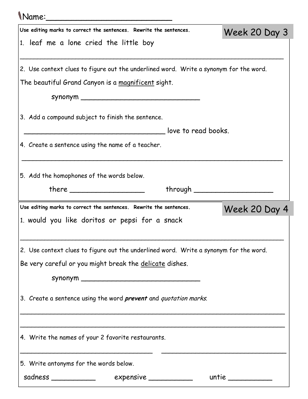| Name:                                                                                 |                     |                                  |               |  |
|---------------------------------------------------------------------------------------|---------------------|----------------------------------|---------------|--|
| Use editing marks to correct the sentences. Rewrite the sentences.                    |                     |                                  | Week 20 Day 3 |  |
| 1. leaf me a lone cried the little boy                                                |                     |                                  |               |  |
| 2. Use context clues to figure out the underlined word. Write a synonym for the word. |                     |                                  |               |  |
| The beautiful Grand Canyon is a magnificent sight.                                    |                     |                                  |               |  |
|                                                                                       |                     |                                  |               |  |
| 3. Add a compound subject to finish the sentence.                                     |                     |                                  |               |  |
|                                                                                       | love to read books. |                                  |               |  |
| 4. Create a sentence using the name of a teacher.                                     |                     |                                  |               |  |
| 5. Add the homophones of the words below.                                             |                     |                                  |               |  |
|                                                                                       | there $\qquad$      | through ________________________ |               |  |
| Use editing marks to correct the sentences. Rewrite the sentences.                    |                     |                                  | Week 20 Day 4 |  |
| 1. would you like doritos or pepsi for a snack                                        |                     |                                  |               |  |
| 2. Use context clues to figure out the underlined word. Write a synonym for the word. |                     |                                  |               |  |
| Be very careful or you might break the delicate dishes.                               |                     |                                  |               |  |
|                                                                                       |                     |                                  |               |  |
| 3. Create a sentence using the word <i>prevent</i> and <i>quotation marks</i> .       |                     |                                  |               |  |
|                                                                                       |                     |                                  |               |  |
| 4. Write the names of your 2 favorite restaurants.                                    |                     |                                  |               |  |
| 5. Write antonyms for the words below.                                                |                     |                                  |               |  |
|                                                                                       |                     |                                  | untie $\_\_$  |  |